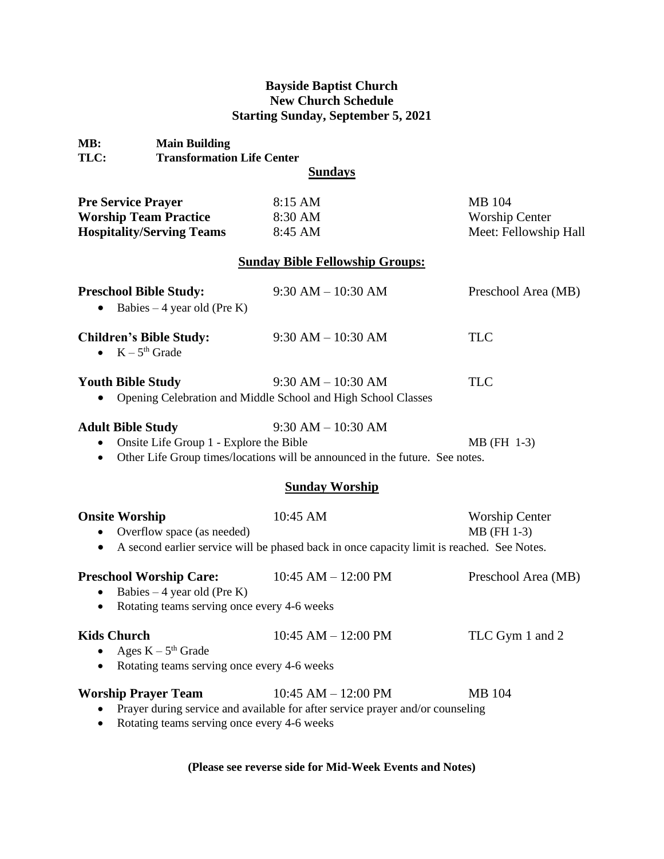## **Bayside Baptist Church New Church Schedule Starting Sunday, September 5, 2021**

| <b>Main Building</b><br>MB:<br>TLC:                                                           | <b>Transformation Life Center</b><br><b>Sundays</b>                                                                                             |                                                          |
|-----------------------------------------------------------------------------------------------|-------------------------------------------------------------------------------------------------------------------------------------------------|----------------------------------------------------------|
| <b>Pre Service Prayer</b><br><b>Worship Team Practice</b><br><b>Hospitality/Serving Teams</b> | 8:15 AM<br>8:30 AM<br>8:45 AM                                                                                                                   | MB 104<br><b>Worship Center</b><br>Meet: Fellowship Hall |
|                                                                                               | <b>Sunday Bible Fellowship Groups:</b>                                                                                                          |                                                          |
| <b>Preschool Bible Study:</b><br>Babies $-4$ year old (Pre K)                                 | $9:30 AM - 10:30 AM$                                                                                                                            | Preschool Area (MB)                                      |
| <b>Children's Bible Study:</b><br>$K - 5th$ Grade                                             | $9:30 AM - 10:30 AM$                                                                                                                            | <b>TLC</b>                                               |
| <b>Youth Bible Study</b>                                                                      | $9:30$ AM $- 10:30$ AM<br>Opening Celebration and Middle School and High School Classes                                                         | <b>TLC</b>                                               |
| <b>Adult Bible Study</b><br>$\bullet$<br>$\bullet$                                            | $9:30 AM - 10:30 AM$<br>Onsite Life Group 1 - Explore the Bible<br>Other Life Group times/locations will be announced in the future. See notes. | MB (FH 1-3)                                              |
|                                                                                               | <b>Sunday Worship</b>                                                                                                                           |                                                          |
| <b>Onsite Worship</b><br>• Overflow space (as needed)                                         | 10:45 AM<br>• A second earlier service will be phased back in once capacity limit is reached. See Notes.                                        | <b>Worship Center</b><br>MB (FH 1-3)                     |
| <b>Preschool Worship Care:</b><br>Babies $-4$ year old (Pre K)<br>$\bullet$                   | 10:45 AM $-$ 12:00 PM<br>Rotating teams serving once every 4-6 weeks                                                                            | Preschool Area (MB)                                      |
| <b>Kids Church</b><br>Ages $K - 5th$ Grade<br>$\bullet$<br>$\bullet$                          | $10:45$ AM $- 12:00$ PM<br>Rotating teams serving once every 4-6 weeks                                                                          | TLC Gym 1 and 2                                          |

**Worship Prayer Team** 10:45 AM – 12:00 PM MB 104 • Prayer during service and available for after service prayer and/or counseling

• Rotating teams serving once every 4-6 weeks

**(Please see reverse side for Mid-Week Events and Notes)**